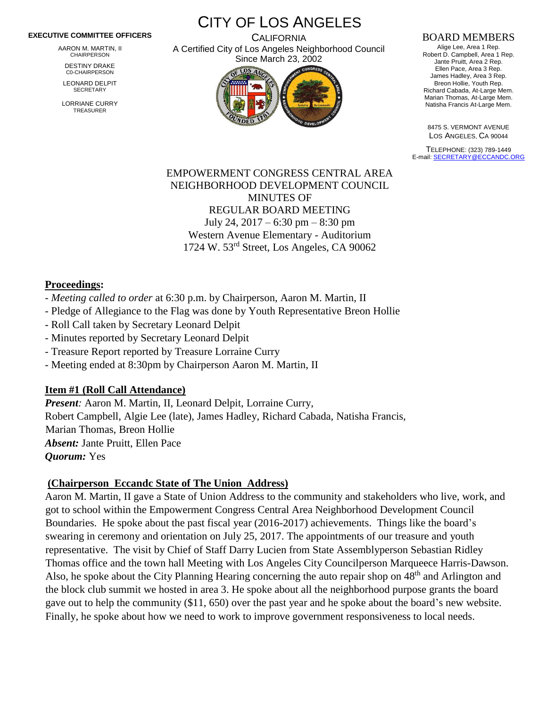#### **EXECUTIVE COMMITTEE OFFICERS**

AARON M. MARTIN, II CHAIRPERSON

DESTINY DRAKE C0-CHAIRPERSON

LEONARD DELPIT **SECRETARY** 

LORRIANE CURRY TREASURER

CITY OF LOS ANGELES **CALIFORNIA** A Certified City of Los Angeles Neighborhood Council

Since March 23, 2002

#### BOARD MEMBERS

Alige Lee, Area 1 Rep. Robert D. Campbell, Area 1 Rep. Jante Pruitt, Area 2 Rep. Ellen Pace, Area 3 Rep. James Hadley, Area 3 Rep. Breon Hollie, Youth Rep. Richard Cabada, At-Large Mem. Marian Thomas, At-Large Mem. Natisha Francis At-Large Mem.

8475 S. VERMONT AVENUE LOS ANGELES, CA 90044

TELEPHONE: (323) 789-1449 E-mail[: SECRETARY@ECCANDC.ORG](mailto:SECRETARY@ECCANDC.ORG)

### EMPOWERMENT CONGRESS CENTRAL AREA NEIGHBORHOOD DEVELOPMENT COUNCIL MINUTES OF REGULAR BOARD MEETING July 24, 2017 – 6:30 pm – 8:30 pm Western Avenue Elementary - Auditorium 1724 W. 53rd Street, Los Angeles, CA 90062

#### **Proceedings:**

- *Meeting called to order* at 6:30 p.m. by Chairperson, Aaron M. Martin, II
- Pledge of Allegiance to the Flag was done by Youth Representative Breon Hollie
- Roll Call taken by Secretary Leonard Delpit
- Minutes reported by Secretary Leonard Delpit
- Treasure Report reported by Treasure Lorraine Curry
- Meeting ended at 8:30pm by Chairperson Aaron M. Martin, II

#### **Item #1 (Roll Call Attendance)**

*Present:* Aaron M. Martin, II, Leonard Delpit, Lorraine Curry, Robert Campbell, Algie Lee (late), James Hadley, Richard Cabada, Natisha Francis, Marian Thomas, Breon Hollie *Absent:* Jante Pruitt, Ellen Pace *Quorum:* Yes

#### **(Chairperson Eccandc State of The Union Address)**

Aaron M. Martin, II gave a State of Union Address to the community and stakeholders who live, work, and got to school within the Empowerment Congress Central Area Neighborhood Development Council Boundaries. He spoke about the past fiscal year (2016-2017) achievements. Things like the board's swearing in ceremony and orientation on July 25, 2017. The appointments of our treasure and youth representative. The visit by Chief of Staff Darry Lucien from State Assemblyperson Sebastian Ridley Thomas office and the town hall Meeting with Los Angeles City Councilperson Marqueece Harris-Dawson. Also, he spoke about the City Planning Hearing concerning the auto repair shop on 48<sup>th</sup> and Arlington and the block club summit we hosted in area 3. He spoke about all the neighborhood purpose grants the board gave out to help the community (\$11, 650) over the past year and he spoke about the board's new website. Finally, he spoke about how we need to work to improve government responsiveness to local needs.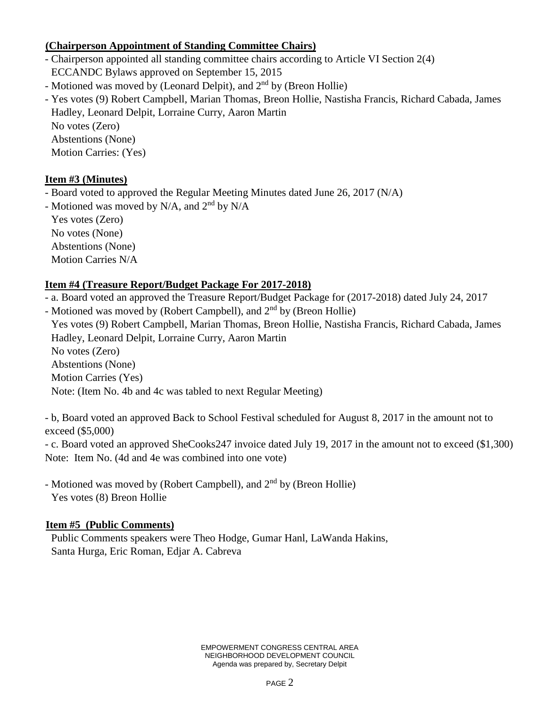## **(Chairperson Appointment of Standing Committee Chairs)**

- Chairperson appointed all standing committee chairs according to Article VI Section 2(4) ECCANDC Bylaws approved on September 15, 2015
- Motioned was moved by (Leonard Delpit), and  $2<sup>nd</sup>$  by (Breon Hollie)
- Yes votes (9) Robert Campbell, Marian Thomas, Breon Hollie, Nastisha Francis, Richard Cabada, James Hadley, Leonard Delpit, Lorraine Curry, Aaron Martin No votes (Zero) Abstentions (None)

Motion Carries: (Yes)

# **Item #3 (Minutes)**

- Board voted to approved the Regular Meeting Minutes dated June 26, 2017 (N/A)

- Motioned was moved by N/A, and  $2<sup>nd</sup>$  by N/A

Yes votes (Zero) No votes (None) Abstentions (None) Motion Carries N/A

# **Item #4 (Treasure Report/Budget Package For 2017-2018)**

- a. Board voted an approved the Treasure Report/Budget Package for (2017-2018) dated July 24, 2017

- Motioned was moved by (Robert Campbell), and 2<sup>nd</sup> by (Breon Hollie) Yes votes (9) Robert Campbell, Marian Thomas, Breon Hollie, Nastisha Francis, Richard Cabada, James Hadley, Leonard Delpit, Lorraine Curry, Aaron Martin No votes (Zero) Abstentions (None) Motion Carries (Yes) Note: (Item No. 4b and 4c was tabled to next Regular Meeting)

- b, Board voted an approved Back to School Festival scheduled for August 8, 2017 in the amount not to exceed (\$5,000)

- c. Board voted an approved SheCooks247 invoice dated July 19, 2017 in the amount not to exceed (\$1,300) Note: Item No. (4d and 4e was combined into one vote)

- Motioned was moved by (Robert Campbell), and 2<sup>nd</sup> by (Breon Hollie) Yes votes (8) Breon Hollie

# **Item #5 (Public Comments)**

Public Comments speakers were Theo Hodge, Gumar Hanl, LaWanda Hakins, Santa Hurga, Eric Roman, Edjar A. Cabreva